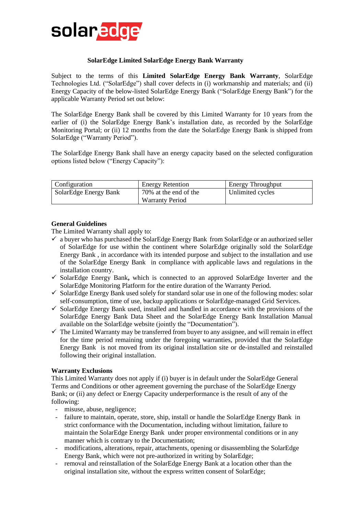

# **SolarEdge Limited SolarEdge Energy Bank Warranty**

Subject to the terms of this **Limited SolarEdge Energy Bank Warranty**, SolarEdge Technologies Ltd. ("SolarEdge") shall cover defects in (i) workmanship and materials; and (ii) Energy Capacity of the below-listed SolarEdge Energy Bank ("SolarEdge Energy Bank") for the applicable Warranty Period set out below:

The SolarEdge Energy Bank shall be covered by this Limited Warranty for 10 years from the earlier of (i) the SolarEdge Energy Bank's installation date, as recorded by the SolarEdge Monitoring Portal; or (ii) 12 months from the date the SolarEdge Energy Bank is shipped from SolarEdge ("Warranty Period").

The SolarEdge Energy Bank shall have an energy capacity based on the selected configuration options listed below ("Energy Capacity"):

| <b>Configuration</b>  | <b>Energy Retention</b> | <b>Energy Throughput</b> |
|-----------------------|-------------------------|--------------------------|
| SolarEdge Energy Bank | 70% at the end of the   | Unlimited cycles         |
|                       | <b>Warranty Period</b>  |                          |

### **General Guidelines**

The Limited Warranty shall apply to:

- $\checkmark$  a buyer who has purchased the SolarEdge Energy Bank from SolarEdge or an authorized seller of SolarEdge for use within the continent where SolarEdge originally sold the SolarEdge Energy Bank , in accordance with its intended purpose and subject to the installation and use of the SolarEdge Energy Bank in compliance with applicable laws and regulations in the installation country.
- ✓ SolarEdge Energy Bank**,** which is connected to an approved SolarEdge Inverter and the SolarEdge Monitoring Platform for the entire duration of the Warranty Period.
- $\checkmark$  SolarEdge Energy Bank used solely for standard solar use in one of the following modes: solar self-consumption, time of use, backup applications or SolarEdge-managed Grid Services.
- $\checkmark$  SolarEdge Energy Bank used, installed and handled in accordance with the provisions of the SolarEdge Energy Bank Data Sheet and the SolarEdge Energy Bank Installation Manual available on the SolarEdge website (jointly the "Documentation").
- $\checkmark$  The Limited Warranty may be transferred from buyer to any assignee, and will remain in effect for the time period remaining under the foregoing warranties, provided that the SolarEdge Energy Bank is not moved from its original installation site or de-installed and reinstalled following their original installation.

### **Warranty Exclusions**

This Limited Warranty does not apply if (i) buyer is in default under the SolarEdge General Terms and Conditions or other agreement governing the purchase of the SolarEdge Energy Bank; or (ii) any defect or Energy Capacity underperformance is the result of any of the following:

- misuse, abuse, negligence;
- failure to maintain, operate, store, ship, install or handle the SolarEdge Energy Bank in strict conformance with the Documentation, including without limitation, failure to maintain the SolarEdge Energy Bank under proper environmental conditions or in any manner which is contrary to the Documentation;
- modifications, alterations, repair, attachments, opening or disassembling the SolarEdge Energy Bank, which were not pre-authorized in writing by SolarEdge;
- removal and reinstallation of the SolarEdge Energy Bank at a location other than the original installation site, without the express written consent of SolarEdge;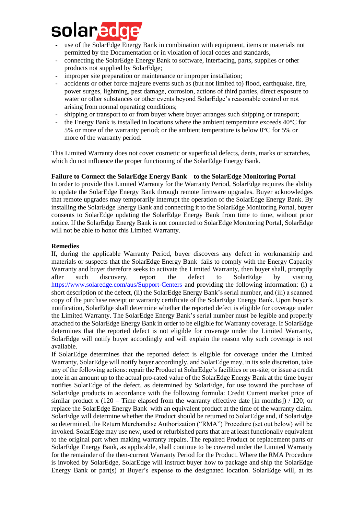

- use of the SolarEdge Energy Bank in combination with equipment, items or materials not permitted by the Documentation or in violation of local codes and standards,
- connecting the SolarEdge Energy Bank to software, interfacing, parts, supplies or other products not supplied by SolarEdge;
- improper site preparation or maintenance or improper installation;
- accidents or other force majeure events such as (but not limited to) flood, earthquake, fire, power surges, lightning, pest damage, corrosion, actions of third parties, direct exposure to water or other substances or other events beyond SolarEdge's reasonable control or not arising from normal operating conditions;
- shipping or transport to or from buyer where buyer arranges such shipping or transport;
- the Energy Bank is installed in locations where the ambient temperature exceeds 40°C for 5% or more of the warranty period; or the ambient temperature is below 0°C for 5% or more of the warranty period.

This Limited Warranty does not cover cosmetic or superficial defects, dents, marks or scratches, which do not influence the proper functioning of the SolarEdge Energy Bank.

# **Failure to Connect the SolarEdge Energy Bank to the SolarEdge Monitoring Portal**

In order to provide this Limited Warranty for the Warranty Period, SolarEdge requires the ability to update the SolarEdge Energy Bank through remote firmware upgrades. Buyer acknowledges that remote upgrades may temporarily interrupt the operation of the SolarEdge Energy Bank. By installing the SolarEdge Energy Bank and connecting it to the SolarEdge Monitoring Portal, buyer consents to SolarEdge updating the SolarEdge Energy Bank from time to time, without prior notice. If the SolarEdge Energy Bank is not connected to SolarEdge Monitoring Portal, SolarEdge will not be able to honor this Limited Warranty.

# **Remedies**

If, during the applicable Warranty Period, buyer discovers any defect in workmanship and materials or suspects that the SolarEdge Energy Bank fails to comply with the Energy Capacity Warranty and buyer therefore seeks to activate the Limited Warranty, then buyer shall, promptly after such discovery, report the defect to SolarEdge by visiting <https://www.solaredge.com/aus/Support-Centers> and providing the following information: (i) a short description of the defect, (ii) the SolarEdge Energy Bank's serial number, and (iii) a scanned copy of the purchase receipt or warranty certificate of the SolarEdge Energy Bank. Upon buyer's notification, SolarEdge shall determine whether the reported defect is eligible for coverage under the Limited Warranty. The SolarEdge Energy Bank's serial number must be legible and properly attached to the SolarEdge Energy Bank in order to be eligible for Warranty coverage. If SolarEdge determines that the reported defect is not eligible for coverage under the Limited Warranty, SolarEdge will notify buyer accordingly and will explain the reason why such coverage is not available.

If SolarEdge determines that the reported defect is eligible for coverage under the Limited Warranty, SolarEdge will notify buyer accordingly, and SolarEdge may, in its sole discretion, take any of the following actions: repair the Product at SolarEdge's facilities or on-site; or issue a credit note in an amount up to the actual pro-rated value of the SolarEdge Energy Bank at the time buyer notifies SolarEdge of the defect, as determined by SolarEdge, for use toward the purchase of SolarEdge products in accordance with the following formula: Credit Current market price of similar product x  $(120 -$  Time elapsed from the warranty effective date [in months]) / 120; or replace the SolarEdge Energy Bank with an equivalent product at the time of the warranty claim. SolarEdge will determine whether the Product should be returned to SolarEdge and, if SolarEdge so determined, the Return Merchandise Authorization ("RMA") Procedure (set out below) will be invoked. SolarEdge may use new, used or refurbished parts that are at least functionally equivalent to the original part when making warranty repairs. The repaired Product or replacement parts or SolarEdge Energy Bank, as applicable, shall continue to be covered under the Limited Warranty for the remainder of the then-current Warranty Period for the Product. Where the RMA Procedure is invoked by SolarEdge, SolarEdge will instruct buyer how to package and ship the SolarEdge Energy Bank or part(s) at Buyer's expense to the designated location. SolarEdge will, at its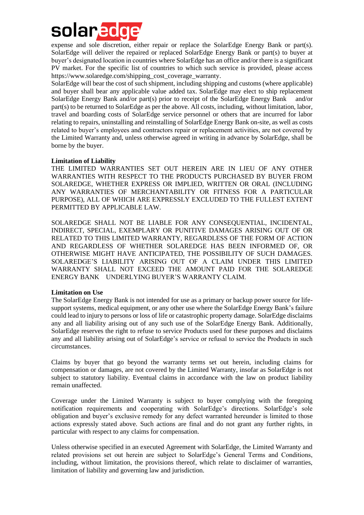

expense and sole discretion, either repair or replace the SolarEdge Energy Bank or part(s). SolarEdge will deliver the repaired or replaced SolarEdge Energy Bank or part(s) to buyer at buyer's designated location in countries where SolarEdge has an office and/or there is a significant PV market. For the specific list of countries to which such service is provided, please access https://www.solaredge.com/shipping\_cost\_coverage\_warranty.

SolarEdge will bear the cost of such shipment, including shipping and customs (where applicable) and buyer shall bear any applicable value added tax. SolarEdge may elect to ship replacement SolarEdge Energy Bank and/or part(s) prior to receipt of the SolarEdge Energy Bank and/or part(s) to be returned to SolarEdge as per the above. All costs, including, without limitation, labor, travel and boarding costs of SolarEdge service personnel or others that are incurred for labor relating to repairs, uninstalling and reinstalling of SolarEdge Energy Bank on-site, as well as costs related to buyer's employees and contractors repair or replacement activities, are not covered by the Limited Warranty and, unless otherwise agreed in writing in advance by SolarEdge, shall be borne by the buyer.

#### **Limitation of Liability**

THE LIMITED WARRANTIES SET OUT HEREIN ARE IN LIEU OF ANY OTHER WARRANTIES WITH RESPECT TO THE PRODUCTS PURCHASED BY BUYER FROM SOLAREDGE, WHETHER EXPRESS OR IMPLIED, WRITTEN OR ORAL (INCLUDING ANY WARRANTIES OF MERCHANTABILITY OR FITNESS FOR A PARTICULAR PURPOSE), ALL OF WHICH ARE EXPRESSLY EXCLUDED TO THE FULLEST EXTENT PERMITTED BY APPLICABLE LAW.

SOLAREDGE SHALL NOT BE LIABLE FOR ANY CONSEQUENTIAL, INCIDENTAL, INDIRECT, SPECIAL, EXEMPLARY OR PUNITIVE DAMAGES ARISING OUT OF OR RELATED TO THIS LIMITED WARRANTY, REGARDLESS OF THE FORM OF ACTION AND REGARDLESS OF WHETHER SOLAREDGE HAS BEEN INFORMED OF, OR OTHERWISE MIGHT HAVE ANTICIPATED, THE POSSIBILITY OF SUCH DAMAGES. SOLAREDGE'S LIABILITY ARISING OUT OF A CLAIM UNDER THIS LIMITED WARRANTY SHALL NOT EXCEED THE AMOUNT PAID FOR THE SOLAREDGE ENERGY BANK UNDERLYING BUYER'S WARRANTY CLAIM.

#### **Limitation on Use**

The SolarEdge Energy Bank is not intended for use as a primary or backup power source for lifesupport systems, medical equipment, or any other use where the SolarEdge Energy Bank's failure could lead to injury to persons or loss of life or catastrophic property damage. SolarEdge disclaims any and all liability arising out of any such use of the SolarEdge Energy Bank. Additionally, SolarEdge reserves the right to refuse to service Products used for these purposes and disclaims any and all liability arising out of SolarEdge's service or refusal to service the Products in such circumstances.

Claims by buyer that go beyond the warranty terms set out herein, including claims for compensation or damages, are not covered by the Limited Warranty, insofar as SolarEdge is not subject to statutory liability. Eventual claims in accordance with the law on product liability remain unaffected.

Coverage under the Limited Warranty is subject to buyer complying with the foregoing notification requirements and cooperating with SolarEdge's directions. SolarEdge's sole obligation and buyer's exclusive remedy for any defect warranted hereunder is limited to those actions expressly stated above. Such actions are final and do not grant any further rights, in particular with respect to any claims for compensation.

Unless otherwise specified in an executed Agreement with SolarEdge, the Limited Warranty and related provisions set out herein are subject to SolarEdge's General Terms and Conditions, including, without limitation, the provisions thereof, which relate to disclaimer of warranties, limitation of liability and governing law and jurisdiction.